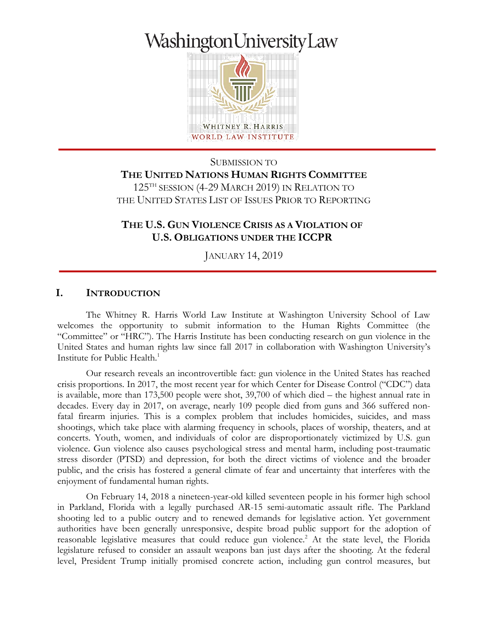# WashingtonUniversityLaw



WHITNEY R. HARRIS WORLD LAW INSTITUTE

SUBMISSION TO **THE UNITED NATIONS HUMAN RIGHTS COMMITTEE** 125TH SESSION (4-29 MARCH 2019) IN RELATION TO THE UNITED STATES LIST OF ISSUES PRIOR TO REPORTING

# **THE U.S. GUN VIOLENCE CRISIS AS A VIOLATION OF U.S. OBLIGATIONS UNDER THE ICCPR**

JANUARY 14, 2019

#### **I. INTRODUCTION**

The Whitney R. Harris World Law Institute at Washington University School of Law welcomes the opportunity to submit information to the Human Rights Committee (the "Committee" or "HRC"). The Harris Institute has been conducting research on gun violence in the United States and human rights law since fall 2017 in collaboration with Washington University's Institute for Public Health.<sup>1</sup>

Our research reveals an incontrovertible fact: gun violence in the United States has reached crisis proportions. In 2017, the most recent year for which Center for Disease Control ("CDC") data is available, more than 173,500 people were shot, 39,700 of which died – the highest annual rate in decades. Every day in 2017, on average, nearly 109 people died from guns and 366 suffered nonfatal firearm injuries. This is a complex problem that includes homicides, suicides, and mass shootings, which take place with alarming frequency in schools, places of worship, theaters, and at concerts. Youth, women, and individuals of color are disproportionately victimized by U.S. gun violence. Gun violence also causes psychological stress and mental harm, including post-traumatic stress disorder (PTSD) and depression, for both the direct victims of violence and the broader public, and the crisis has fostered a general climate of fear and uncertainty that interferes with the enjoyment of fundamental human rights.

On February 14, 2018 a nineteen-year-old killed seventeen people in his former high school in Parkland, Florida with a legally purchased AR-15 semi-automatic assault rifle. The Parkland shooting led to a public outcry and to renewed demands for legislative action. Yet government authorities have been generally unresponsive, despite broad public support for the adoption of reasonable legislative measures that could reduce gun violence.<sup>2</sup> At the state level, the Florida legislature refused to consider an assault weapons ban just days after the shooting. At the federal level, President Trump initially promised concrete action, including gun control measures, but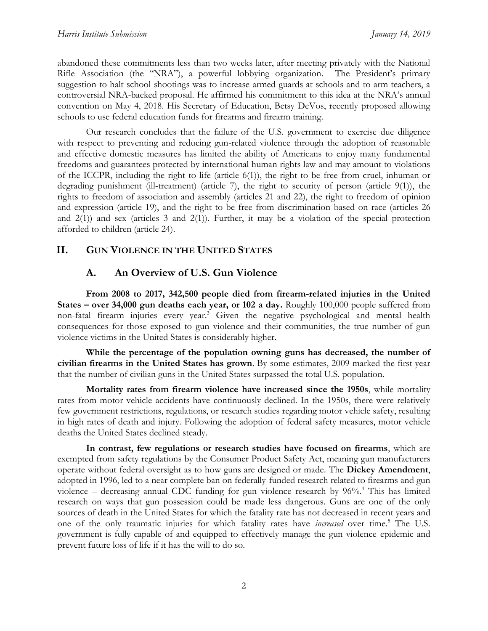abandoned these commitments less than two weeks later, after meeting privately with the National Rifle Association (the "NRA"), a powerful lobbying organization. The President's primary suggestion to halt school shootings was to increase armed guards at schools and to arm teachers, a controversial NRA-backed proposal. He affirmed his commitment to this idea at the NRA's annual convention on May 4, 2018. His Secretary of Education, Betsy DeVos, recently proposed allowing schools to use federal education funds for firearms and firearm training.

Our research concludes that the failure of the U.S. government to exercise due diligence with respect to preventing and reducing gun-related violence through the adoption of reasonable and effective domestic measures has limited the ability of Americans to enjoy many fundamental freedoms and guarantees protected by international human rights law and may amount to violations of the ICCPR, including the right to life (article 6(1)), the right to be free from cruel, inhuman or degrading punishment (ill-treatment) (article 7), the right to security of person (article 9(1)), the rights to freedom of association and assembly (articles 21 and 22), the right to freedom of opinion and expression (article 19), and the right to be free from discrimination based on race (articles 26 and 2(1)) and sex (articles 3 and 2(1)). Further, it may be a violation of the special protection afforded to children (article 24).

# **II. GUN VIOLENCE IN THE UNITED STATES**

# **A. An Overview of U.S. Gun Violence**

**From 2008 to 2017, 342,500 people died from firearm-related injuries in the United States – over 34,000 gun deaths each year, or 102 a day.** Roughly 100,000 people suffered from non-fatal firearm injuries every year.<sup>3</sup> Given the negative psychological and mental health consequences for those exposed to gun violence and their communities, the true number of gun violence victims in the United States is considerably higher.

**While the percentage of the population owning guns has decreased, the number of civilian firearms in the United States has grown**. By some estimates, 2009 marked the first year that the number of civilian guns in the United States surpassed the total U.S. population.

**Mortality rates from firearm violence have increased since the 1950s**, while mortality rates from motor vehicle accidents have continuously declined. In the 1950s, there were relatively few government restrictions, regulations, or research studies regarding motor vehicle safety, resulting in high rates of death and injury. Following the adoption of federal safety measures, motor vehicle deaths the United States declined steady.

**In contrast, few regulations or research studies have focused on firearms**, which are exempted from safety regulations by the Consumer Product Safety Act, meaning gun manufacturers operate without federal oversight as to how guns are designed or made. The **Dickey Amendment**, adopted in 1996, led to a near complete ban on federally-funded research related to firearms and gun violence – decreasing annual CDC funding for gun violence research by 96%.<sup>4</sup> This has limited research on ways that gun possession could be made less dangerous. Guns are one of the only sources of death in the United States for which the fatality rate has not decreased in recent years and one of the only traumatic injuries for which fatality rates have *increased* over time.<sup>5</sup> The U.S. government is fully capable of and equipped to effectively manage the gun violence epidemic and prevent future loss of life if it has the will to do so.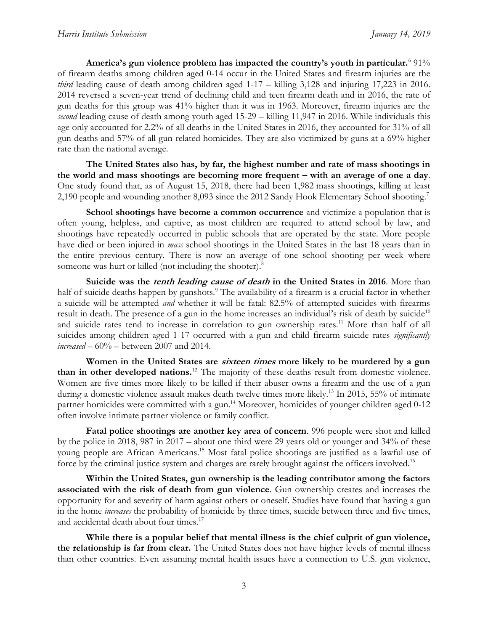America's gun violence problem has impacted the country's youth in particular.<sup>6</sup> 91% of firearm deaths among children aged 0-14 occur in the United States and firearm injuries are the *third* leading cause of death among children aged 1-17 – killing 3,128 and injuring 17,223 in 2016. 2014 reversed a seven-year trend of declining child and teen firearm death and in 2016, the rate of gun deaths for this group was 41% higher than it was in 1963. Moreover, firearm injuries are the *second* leading cause of death among youth aged 15-29 – killing 11,947 in 2016. While individuals this age only accounted for 2.2% of all deaths in the United States in 2016, they accounted for 31% of all gun deaths and 57% of all gun-related homicides. They are also victimized by guns at a 69% higher rate than the national average.

**The United States also has, by far, the highest number and rate of mass shootings in the world and mass shootings are becoming more frequent – with an average of one a day**. One study found that, as of August 15, 2018, there had been 1,982 mass shootings, killing at least 2,190 people and wounding another 8,093 since the 2012 Sandy Hook Elementary School shooting.<sup>7</sup>

**School shootings have become a common occurrence** and victimize a population that is often young, helpless, and captive, as most children are required to attend school by law, and shootings have repeatedly occurred in public schools that are operated by the state. More people have died or been injured in *mass* school shootings in the United States in the last 18 years than in the entire previous century. There is now an average of one school shooting per week where someone was hurt or killed (not including the shooter).<sup>8</sup>

**Suicide was the tenth leading cause of death in the United States in 2016**. More than half of suicide deaths happen by gunshots.<sup>9</sup> The availability of a firearm is a crucial factor in whether a suicide will be attempted *and* whether it will be fatal: 82.5% of attempted suicides with firearms result in death. The presence of a gun in the home increases an individual's risk of death by suicide<sup>10</sup> and suicide rates tend to increase in correlation to gun ownership rates.<sup>11</sup> More than half of all suicides among children aged 1-17 occurred with a gun and child firearm suicide rates *significantly increased* – 60% – between 2007 and 2014.

**Women in the United States are sixteen times more likely to be murdered by a gun than in other developed nations.**<sup>12</sup> The majority of these deaths result from domestic violence. Women are five times more likely to be killed if their abuser owns a firearm and the use of a gun during a domestic violence assault makes death twelve times more likely.<sup>13</sup> In 2015, 55% of intimate partner homicides were committed with a gun.<sup>14</sup> Moreover, homicides of younger children aged 0-12 often involve intimate partner violence or family conflict.

**Fatal police shootings are another key area of concern**. 996 people were shot and killed by the police in 2018, 987 in 2017 – about one third were 29 years old or younger and 34% of these young people are African Americans.<sup>15</sup> Most fatal police shootings are justified as a lawful use of force by the criminal justice system and charges are rarely brought against the officers involved.<sup>16</sup>

**Within the United States, gun ownership is the leading contributor among the factors associated with the risk of death from gun violence**. Gun ownership creates and increases the opportunity for and severity of harm against others or oneself. Studies have found that having a gun in the home *increases* the probability of homicide by three times, suicide between three and five times, and accidental death about four times.<sup>17</sup>

**While there is a popular belief that mental illness is the chief culprit of gun violence, the relationship is far from clear.** The United States does not have higher levels of mental illness than other countries. Even assuming mental health issues have a connection to U.S. gun violence,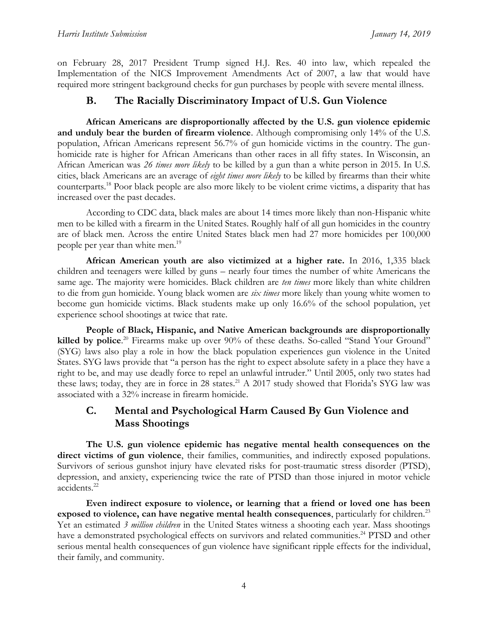on February 28, 2017 President Trump signed H.J. Res. 40 into law, which repealed the Implementation of the NICS Improvement Amendments Act of 2007, a law that would have required more stringent background checks for gun purchases by people with severe mental illness.

# **B. The Racially Discriminatory Impact of U.S. Gun Violence**

**African Americans are disproportionally affected by the U.S. gun violence epidemic and unduly bear the burden of firearm violence**. Although compromising only 14% of the U.S. population, African Americans represent 56.7% of gun homicide victims in the country. The gunhomicide rate is higher for African Americans than other races in all fifty states. In Wisconsin, an African American was *26 times more likely* to be killed by a gun than a white person in 2015. In U.S. cities, black Americans are an average of *eight times more likely* to be killed by firearms than their white counterparts.<sup>18</sup> Poor black people are also more likely to be violent crime victims, a disparity that has increased over the past decades.

According to CDC data, black males are about 14 times more likely than non-Hispanic white men to be killed with a firearm in the United States. Roughly half of all gun homicides in the country are of black men. Across the entire United States black men had 27 more homicides per 100,000 people per year than white men.<sup>19</sup>

**African American youth are also victimized at a higher rate.** In 2016, 1,335 black children and teenagers were killed by guns – nearly four times the number of white Americans the same age. The majority were homicides. Black children are *ten times* more likely than white children to die from gun homicide. Young black women are *six times* more likely than young white women to become gun homicide victims. Black students make up only 16.6% of the school population, yet experience school shootings at twice that rate.

**People of Black, Hispanic, and Native American backgrounds are disproportionally killed by police**. <sup>20</sup> Firearms make up over 90% of these deaths. So-called "Stand Your Ground" (SYG) laws also play a role in how the black population experiences gun violence in the United States. SYG laws provide that "a person has the right to expect absolute safety in a place they have a right to be, and may use deadly force to repel an unlawful intruder." Until 2005, only two states had these laws; today, they are in force in 28 states.<sup>21</sup> A 2017 study showed that Florida's SYG law was associated with a 32% increase in firearm homicide.

# **C. Mental and Psychological Harm Caused By Gun Violence and Mass Shootings**

**The U.S. gun violence epidemic has negative mental health consequences on the direct victims of gun violence**, their families, communities, and indirectly exposed populations. Survivors of serious gunshot injury have elevated risks for post-traumatic stress disorder (PTSD), depression, and anxiety, experiencing twice the rate of PTSD than those injured in motor vehicle accidents.<sup>22</sup>

**Even indirect exposure to violence, or learning that a friend or loved one has been**  exposed to violence, can have negative mental health consequences, particularly for children.<sup>23</sup> Yet an estimated *3 million children* in the United States witness a shooting each year. Mass shootings have a demonstrated psychological effects on survivors and related communities.<sup>24</sup> PTSD and other serious mental health consequences of gun violence have significant ripple effects for the individual, their family, and community.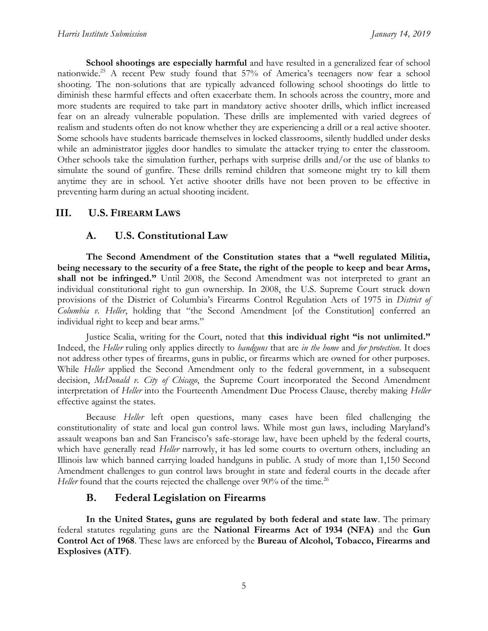**School shootings are especially harmful** and have resulted in a generalized fear of school nationwide. <sup>25</sup> A recent Pew study found that 57% of America's teenagers now fear a school shooting. The non-solutions that are typically advanced following school shootings do little to diminish these harmful effects and often exacerbate them. In schools across the country, more and more students are required to take part in mandatory active shooter drills, which inflict increased fear on an already vulnerable population. These drills are implemented with varied degrees of realism and students often do not know whether they are experiencing a drill or a real active shooter. Some schools have students barricade themselves in locked classrooms, silently huddled under desks while an administrator jiggles door handles to simulate the attacker trying to enter the classroom. Other schools take the simulation further, perhaps with surprise drills and/or the use of blanks to simulate the sound of gunfire. These drills remind children that someone might try to kill them anytime they are in school. Yet active shooter drills have not been proven to be effective in preventing harm during an actual shooting incident.

## **III. U.S. FIREARM LAWS**

## **A. U.S. Constitutional Law**

**The Second Amendment of the Constitution states that a "well regulated Militia, being necessary to the security of a free State, the right of the people to keep and bear Arms, shall not be infringed."** Until 2008, the Second Amendment was not interpreted to grant an individual constitutional right to gun ownership. In 2008, the U.S. Supreme Court struck down provisions of the District of Columbia's Firearms Control Regulation Acts of 1975 in *District of Columbia v. Heller*, holding that "the Second Amendment [of the Constitution] conferred an individual right to keep and bear arms."

Justice Scalia, writing for the Court, noted that **this individual right "is not unlimited."** Indeed, the *Heller* ruling only applies directly to *handguns* that are *in the home* and *for protection*. It does not address other types of firearms, guns in public, or firearms which are owned for other purposes. While *Heller* applied the Second Amendment only to the federal government, in a subsequent decision, *McDonald v. City of Chicago*, the Supreme Court incorporated the Second Amendment interpretation of *Heller* into the Fourteenth Amendment Due Process Clause, thereby making *Heller* effective against the states.

Because *Heller* left open questions, many cases have been filed challenging the constitutionality of state and local gun control laws. While most gun laws, including Maryland's assault weapons ban and San Francisco's safe-storage law, have been upheld by the federal courts, which have generally read *Heller* narrowly, it has led some courts to overturn others, including an Illinois law which banned carrying loaded handguns in public. A study of more than 1,150 Second Amendment challenges to gun control laws brought in state and federal courts in the decade after *Heller* found that the courts rejected the challenge over 90% of the time.<sup>26</sup>

## **B. Federal Legislation on Firearms**

**In the United States, guns are regulated by both federal and state law**. The primary federal statutes regulating guns are the **National Firearms Act of 1934 (NFA)** and the **Gun Control Act of 1968**. These laws are enforced by the **Bureau of Alcohol, Tobacco, Firearms and Explosives (ATF)**.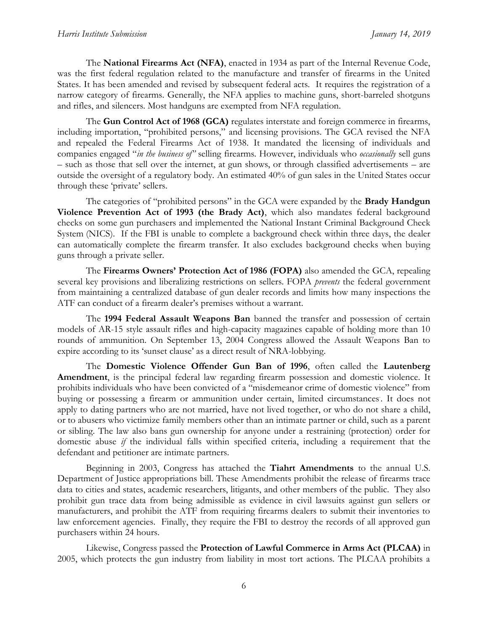The **National Firearms Act (NFA)**, enacted in 1934 as part of the Internal Revenue Code, was the first federal regulation related to the manufacture and transfer of firearms in the United States. It has been amended and revised by subsequent federal acts. It requires the registration of a narrow category of firearms. Generally, the NFA applies to machine guns, short-barreled shotguns and rifles, and silencers. Most handguns are exempted from NFA regulation.

The **Gun Control Act of 1968 (GCA)** regulates interstate and foreign commerce in firearms, including importation, "prohibited persons," and licensing provisions. The GCA revised the NFA and repealed the Federal Firearms Act of 1938. It mandated the licensing of individuals and companies engaged "*in the business of"* selling firearms. However, individuals who *occasionally* sell guns – such as those that sell over the internet, at gun shows, or through classified advertisements – are outside the oversight of a regulatory body. An estimated 40% of gun sales in the United States occur through these 'private' sellers.

The categories of "prohibited persons" in the GCA were expanded by the **Brady Handgun Violence Prevention Act of 1993 (the Brady Act)**, which also mandates federal background checks on some gun purchasers and implemented the National Instant Criminal Background Check System (NICS). If the FBI is unable to complete a background check within three days, the dealer can automatically complete the firearm transfer. It also excludes background checks when buying guns through a private seller.

The **Firearms Owners' Protection Act of 1986 (FOPA)** also amended the GCA, repealing several key provisions and liberalizing restrictions on sellers. FOPA *prevents* the federal government from maintaining a centralized database of gun dealer records and limits how many inspections the ATF can conduct of a firearm dealer's premises without a warrant.

The **1994 Federal Assault Weapons Ban** banned the transfer and possession of certain models of AR-15 style assault rifles and high-capacity magazines capable of holding more than 10 rounds of ammunition. On September 13, 2004 Congress allowed the Assault Weapons Ban to expire according to its 'sunset clause' as a direct result of NRA-lobbying.

The **Domestic Violence Offender Gun Ban of 1996**, often called the **Lautenberg Amendment**, is the principal federal law regarding firearm possession and domestic violence. It prohibits individuals who have been convicted of a "misdemeanor crime of domestic violence" from buying or possessing a firearm or ammunition under certain, limited circumstances. . It does not apply to dating partners who are not married, have not lived together, or who do not share a child, or to abusers who victimize family members other than an intimate partner or child, such as a parent or sibling. The law also bans gun ownership for anyone under a restraining (protection) order for domestic abuse *if* the individual falls within specified criteria, including a requirement that the defendant and petitioner are intimate partners.

Beginning in 2003, Congress has attached the **Tiahrt Amendments** to the annual U.S. Department of Justice appropriations bill. These Amendments prohibit the release of firearms trace data to cities and states, academic researchers, litigants, and other members of the public. They also prohibit gun trace data from being admissible as evidence in civil lawsuits against gun sellers or manufacturers, and prohibit the ATF from requiring firearms dealers to submit their inventories to law enforcement agencies. Finally, they require the FBI to destroy the records of all approved gun purchasers within 24 hours.

Likewise, Congress passed the **Protection of Lawful Commerce in Arms Act (PLCAA)** in 2005, which protects the gun industry from liability in most tort actions. The PLCAA prohibits a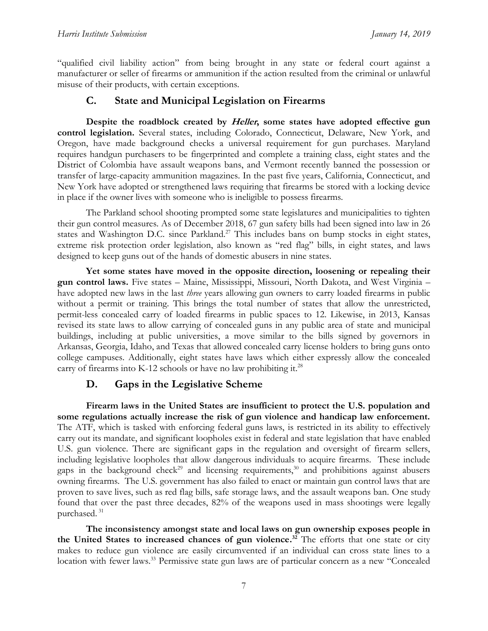"qualified civil liability action" from being brought in any state or federal court against a manufacturer or seller of firearms or ammunition if the action resulted from the criminal or unlawful misuse of their products, with certain exceptions.

# **C. State and Municipal Legislation on Firearms**

**Despite the roadblock created by Heller, some states have adopted effective gun control legislation.** Several states, including Colorado, Connecticut, Delaware, New York, and Oregon, have made background checks a universal requirement for gun purchases. Maryland requires handgun purchasers to be fingerprinted and complete a training class, eight states and the District of Colombia have assault weapons bans, and Vermont recently banned the possession or transfer of large-capacity ammunition magazines. In the past five years, California, Connecticut, and New York have adopted or strengthened laws requiring that firearms be stored with a locking device in place if the owner lives with someone who is ineligible to possess firearms.

The Parkland school shooting prompted some state legislatures and municipalities to tighten their gun control measures. As of December 2018, 67 gun safety bills had been signed into law in 26 states and Washington D.C. since Parkland.<sup>27</sup> This includes bans on bump stocks in eight states, extreme risk protection order legislation, also known as "red flag" bills, in eight states, and laws designed to keep guns out of the hands of domestic abusers in nine states.

**Yet some states have moved in the opposite direction, loosening or repealing their gun control laws.** Five states – Maine, Mississippi, Missouri, North Dakota, and West Virginia – have adopted new laws in the last *three* years allowing gun owners to carry loaded firearms in public without a permit or training. This brings the total number of states that allow the unrestricted, permit-less concealed carry of loaded firearms in public spaces to 12. Likewise, in 2013, Kansas revised its state laws to allow carrying of concealed guns in any public area of state and municipal buildings, including at public universities, a move similar to the bills signed by governors in Arkansas, Georgia, Idaho, and Texas that allowed concealed carry license holders to bring guns onto college campuses. Additionally, eight states have laws which either expressly allow the concealed carry of firearms into K-12 schools or have no law prohibiting it.<sup>28</sup>

## **D. Gaps in the Legislative Scheme**

**Firearm laws in the United States are insufficient to protect the U.S. population and some regulations actually increase the risk of gun violence and handicap law enforcement.** The ATF, which is tasked with enforcing federal guns laws, is restricted in its ability to effectively carry out its mandate, and significant loopholes exist in federal and state legislation that have enabled U.S. gun violence. There are significant gaps in the regulation and oversight of firearm sellers, including legislative loopholes that allow dangerous individuals to acquire firearms. These include gaps in the background check<sup>29</sup> and licensing requirements,<sup>30</sup> and prohibitions against abusers owning firearms. The U.S. government has also failed to enact or maintain gun control laws that are proven to save lives, such as red flag bills, safe storage laws, and the assault weapons ban. One study found that over the past three decades, 82% of the weapons used in mass shootings were legally purchased. 31

**The inconsistency amongst state and local laws on gun ownership exposes people in the United States to increased chances of gun violence. <sup>32</sup>** The efforts that one state or city makes to reduce gun violence are easily circumvented if an individual can cross state lines to a location with fewer laws.<sup>33</sup> Permissive state gun laws are of particular concern as a new "Concealed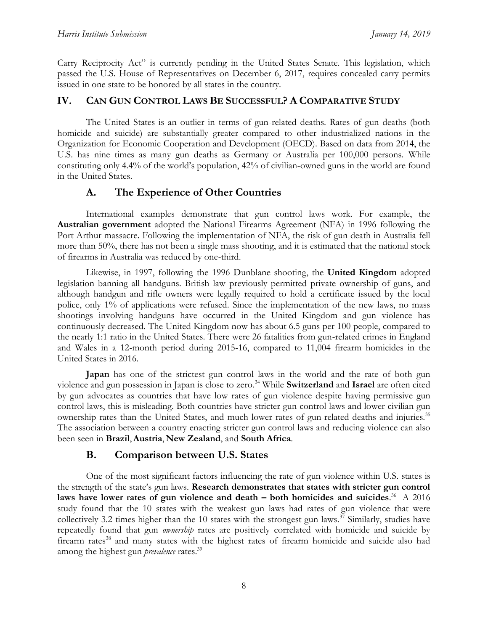Carry Reciprocity Act" is currently pending in the United States Senate. This legislation, which passed the U.S. House of Representatives on December 6, 2017, requires concealed carry permits issued in one state to be honored by all states in the country.

# **IV. CAN GUN CONTROL LAWS BE SUCCESSFUL? A COMPARATIVE STUDY**

The United States is an outlier in terms of gun-related deaths. Rates of gun deaths (both homicide and suicide) are substantially greater compared to other industrialized nations in the Organization for Economic Cooperation and Development (OECD). Based on data from 2014, the U.S. has nine times as many gun deaths as Germany or Australia per 100,000 persons. While constituting only 4.4% of the world's population, 42% of civilian-owned guns in the world are found in the United States.

# **A. The Experience of Other Countries**

International examples demonstrate that gun control laws work. For example, the **Australian government** adopted the National Firearms Agreement (NFA) in 1996 following the Port Arthur massacre. Following the implementation of NFA, the risk of gun death in Australia fell more than 50%, there has not been a single mass shooting, and it is estimated that the national stock of firearms in Australia was reduced by one-third.

Likewise, in 1997, following the 1996 Dunblane shooting, the **United Kingdom** adopted legislation banning all handguns. British law previously permitted private ownership of guns, and although handgun and rifle owners were legally required to hold a certificate issued by the local police, only 1% of applications were refused. Since the implementation of the new laws, no mass shootings involving handguns have occurred in the United Kingdom and gun violence has continuously decreased. The United Kingdom now has about 6.5 guns per 100 people, compared to the nearly 1:1 ratio in the United States. There were 26 fatalities from gun-related crimes in England and Wales in a 12-month period during 2015-16, compared to 11,004 firearm homicides in the United States in 2016.

**Japan** has one of the strictest gun control laws in the world and the rate of both gun violence and gun possession in Japan is close to zero. <sup>34</sup> While **Switzerland** and **Israel** are often cited by gun advocates as countries that have low rates of gun violence despite having permissive gun control laws, this is misleading. Both countries have stricter gun control laws and lower civilian gun ownership rates than the United States, and much lower rates of gun-related deaths and injuries.<sup>35</sup> The association between a country enacting stricter gun control laws and reducing violence can also been seen in **Brazil**,**Austria**, **New Zealand**, and **South Africa**.

# **B. Comparison between U.S. States**

One of the most significant factors influencing the rate of gun violence within U.S. states is the strength of the state's gun laws. **Research demonstrates that states with stricter gun control laws have lower rates of gun violence and death – both homicides and suicides**. <sup>36</sup> A 2016 study found that the 10 states with the weakest gun laws had rates of gun violence that were collectively 3.2 times higher than the 10 states with the strongest gun laws.<sup>37</sup> Similarly, studies have repeatedly found that gun *ownership* rates are positively correlated with homicide and suicide by firearm rates<sup>38</sup> and many states with the highest rates of firearm homicide and suicide also had among the highest gun *prevalence* rates.<sup>39</sup>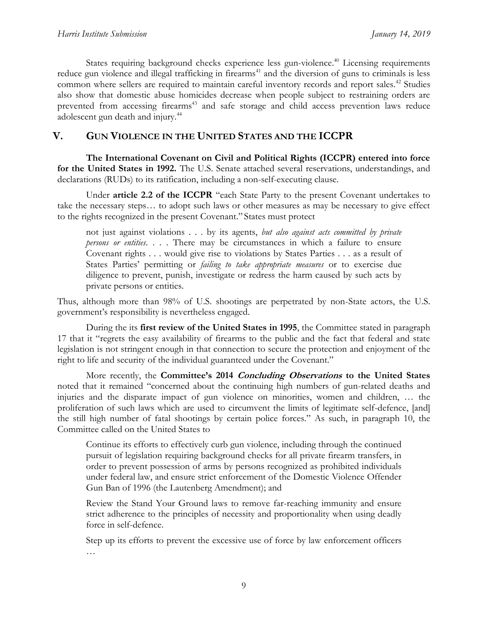States requiring background checks experience less gun-violence.<sup>40</sup> Licensing requirements reduce gun violence and illegal trafficking in firearms<sup>41</sup> and the diversion of guns to criminals is less common where sellers are required to maintain careful inventory records and report sales.<sup>42</sup> Studies also show that domestic abuse homicides decrease when people subject to restraining orders are prevented from accessing firearms<sup>43</sup> and safe storage and child access prevention laws reduce adolescent gun death and injury.<sup>44</sup>

#### **V. GUN VIOLENCE IN THE UNITED STATES AND THE ICCPR**

**The International Covenant on Civil and Political Rights (ICCPR) entered into force for the United States in 1992.** The U.S. Senate attached several reservations, understandings, and declarations (RUDs) to its ratification, including a non-self-executing clause.

Under **article 2.2 of the ICCPR** "each State Party to the present Covenant undertakes to take the necessary steps… to adopt such laws or other measures as may be necessary to give effect to the rights recognized in the present Covenant." States must protect

not just against violations . . . by its agents, *but also against acts committed by private persons or entities*. . . . There may be circumstances in which a failure to ensure Covenant rights . . . would give rise to violations by States Parties . . . as a result of States Parties' permitting or *failing to take appropriate measures* or to exercise due diligence to prevent, punish, investigate or redress the harm caused by such acts by private persons or entities.

Thus, although more than 98% of U.S. shootings are perpetrated by non-State actors, the U.S. government's responsibility is nevertheless engaged.

During the its **first review of the United States in 1995**, the Committee stated in paragraph 17 that it "regrets the easy availability of firearms to the public and the fact that federal and state legislation is not stringent enough in that connection to secure the protection and enjoyment of the right to life and security of the individual guaranteed under the Covenant."

More recently, the **Committee's 2014 Concluding Observations to the United States** noted that it remained "concerned about the continuing high numbers of gun-related deaths and injuries and the disparate impact of gun violence on minorities, women and children, … the proliferation of such laws which are used to circumvent the limits of legitimate self-defence, [and] the still high number of fatal shootings by certain police forces." As such, in paragraph 10, the Committee called on the United States to

Continue its efforts to effectively curb gun violence, including through the continued pursuit of legislation requiring background checks for all private firearm transfers, in order to prevent possession of arms by persons recognized as prohibited individuals under federal law, and ensure strict enforcement of the Domestic Violence Offender Gun Ban of 1996 (the Lautenberg Amendment); and

Review the Stand Your Ground laws to remove far-reaching immunity and ensure strict adherence to the principles of necessity and proportionality when using deadly force in self-defence.

Step up its efforts to prevent the excessive use of force by law enforcement officers …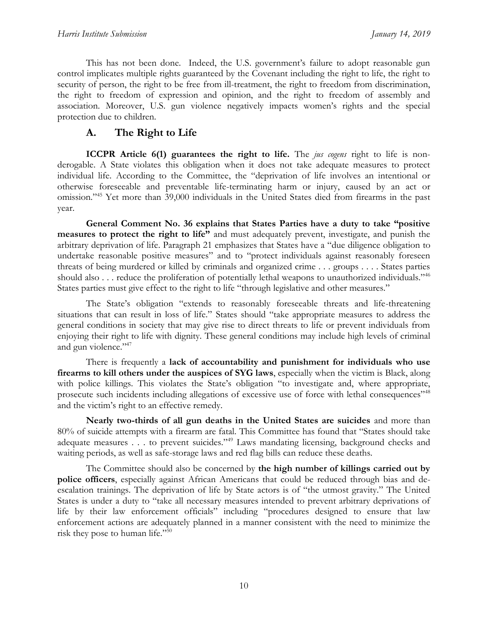This has not been done. Indeed, the U.S. government's failure to adopt reasonable gun control implicates multiple rights guaranteed by the Covenant including the right to life, the right to security of person, the right to be free from ill-treatment, the right to freedom from discrimination, the right to freedom of expression and opinion, and the right to freedom of assembly and association. Moreover, U.S. gun violence negatively impacts women's rights and the special protection due to children.

# **A. The Right to Life**

**ICCPR Article 6(1) guarantees the right to life.** The *jus cogens* right to life is nonderogable. A State violates this obligation when it does not take adequate measures to protect individual life. According to the Committee, the "deprivation of life involves an intentional or otherwise foreseeable and preventable life-terminating harm or injury, caused by an act or omission."<sup>45</sup> Yet more than 39,000 individuals in the United States died from firearms in the past year.

**General Comment No. 36 explains that States Parties have a duty to take "positive measures to protect the right to life"** and must adequately prevent, investigate, and punish the arbitrary deprivation of life. Paragraph 21 emphasizes that States have a "due diligence obligation to undertake reasonable positive measures" and to "protect individuals against reasonably foreseen threats of being murdered or killed by criminals and organized crime . . . groups . . . . States parties should also . . . reduce the proliferation of potentially lethal weapons to unauthorized individuals."<sup>46</sup> States parties must give effect to the right to life "through legislative and other measures."

The State's obligation "extends to reasonably foreseeable threats and life-threatening situations that can result in loss of life." States should "take appropriate measures to address the general conditions in society that may give rise to direct threats to life or prevent individuals from enjoying their right to life with dignity. These general conditions may include high levels of criminal and gun violence."<sup>47</sup>

There is frequently a **lack of accountability and punishment for individuals who use firearms to kill others under the auspices of SYG laws**, especially when the victim is Black, along with police killings. This violates the State's obligation "to investigate and, where appropriate, prosecute such incidents including allegations of excessive use of force with lethal consequences"<sup>48</sup> and the victim's right to an effective remedy.

**Nearly two-thirds of all gun deaths in the United States are suicides** and more than 80% of suicide attempts with a firearm are fatal. This Committee has found that "States should take adequate measures . . . to prevent suicides."<sup>49</sup> Laws mandating licensing, background checks and waiting periods, as well as safe-storage laws and red flag bills can reduce these deaths.

The Committee should also be concerned by **the high number of killings carried out by police officers**, especially against African Americans that could be reduced through bias and deescalation trainings. The deprivation of life by State actors is of "the utmost gravity." The United States is under a duty to "take all necessary measures intended to prevent arbitrary deprivations of life by their law enforcement officials" including "procedures designed to ensure that law enforcement actions are adequately planned in a manner consistent with the need to minimize the risk they pose to human life."50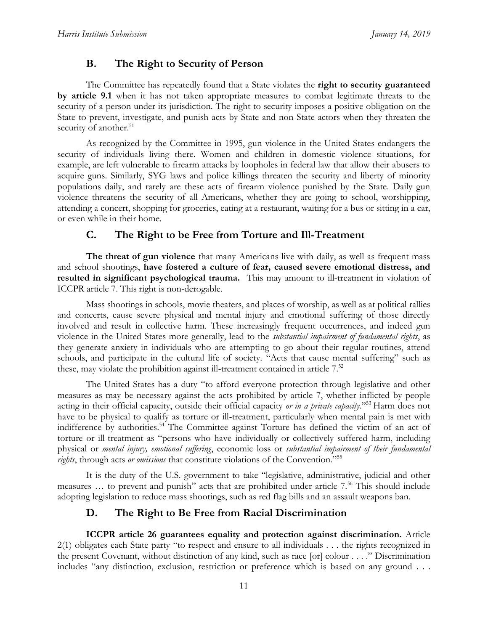# **B. The Right to Security of Person**

The Committee has repeatedly found that a State violates the **right to security guaranteed by article 9.1** when it has not taken appropriate measures to combat legitimate threats to the security of a person under its jurisdiction. The right to security imposes a positive obligation on the State to prevent, investigate, and punish acts by State and non-State actors when they threaten the security of another.<sup>51</sup>

As recognized by the Committee in 1995, gun violence in the United States endangers the security of individuals living there. Women and children in domestic violence situations, for example, are left vulnerable to firearm attacks by loopholes in federal law that allow their abusers to acquire guns. Similarly, SYG laws and police killings threaten the security and liberty of minority populations daily, and rarely are these acts of firearm violence punished by the State. Daily gun violence threatens the security of all Americans, whether they are going to school, worshipping, attending a concert, shopping for groceries, eating at a restaurant, waiting for a bus or sitting in a car, or even while in their home.

## **C. The Right to be Free from Torture and Ill-Treatment**

**The threat of gun violence** that many Americans live with daily, as well as frequent mass and school shootings, **have fostered a culture of fear, caused severe emotional distress, and resulted in significant psychological trauma.** This may amount to ill-treatment in violation of ICCPR article 7. This right is non-derogable.

Mass shootings in schools, movie theaters, and places of worship, as well as at political rallies and concerts, cause severe physical and mental injury and emotional suffering of those directly involved and result in collective harm. These increasingly frequent occurrences, and indeed gun violence in the United States more generally, lead to the *substantial impairment of fundamental rights*, as they generate anxiety in individuals who are attempting to go about their regular routines, attend schools, and participate in the cultural life of society. "Acts that cause mental suffering" such as these, may violate the prohibition against ill-treatment contained in article 7.<sup>52</sup>

The United States has a duty "to afford everyone protection through legislative and other measures as may be necessary against the acts prohibited by article 7, whether inflicted by people acting in their official capacity, outside their official capacity *or in a private capacity*." <sup>53</sup> Harm does not have to be physical to qualify as torture or ill-treatment, particularly when mental pain is met with indifference by authorities. <sup>54</sup> The Committee against Torture has defined the victim of an act of torture or ill-treatment as "persons who have individually or collectively suffered harm, including physical or *mental injury, emotional suffering*, economic loss or *substantial impairment of their fundamental rights*, through acts *or omissions* that constitute violations of the Convention."<sup>55</sup>

It is the duty of the U.S. government to take "legislative, administrative, judicial and other measures ... to prevent and punish" acts that are prohibited under article 7.<sup>56</sup> This should include adopting legislation to reduce mass shootings, such as red flag bills and an assault weapons ban.

## **D. The Right to Be Free from Racial Discrimination**

**ICCPR article 26 guarantees equality and protection against discrimination.** Article 2(1) obligates each State party "to respect and ensure to all individuals . . . the rights recognized in the present Covenant, without distinction of any kind, such as race [or] colour . . . ." Discrimination includes "any distinction, exclusion, restriction or preference which is based on any ground . . .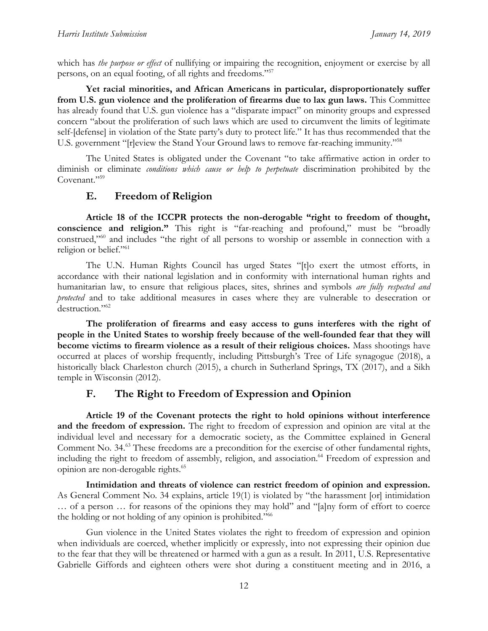which has *the purpose or effect* of nullifying or impairing the recognition, enjoyment or exercise by all persons, on an equal footing, of all rights and freedoms." 57

**Yet racial minorities, and African Americans in particular, disproportionately suffer from U.S. gun violence and the proliferation of firearms due to lax gun laws.** This Committee has already found that U.S. gun violence has a "disparate impact" on minority groups and expressed concern "about the proliferation of such laws which are used to circumvent the limits of legitimate self-[defense] in violation of the State party's duty to protect life." It has thus recommended that the U.S. government "[r]eview the Stand Your Ground laws to remove far-reaching immunity."<sup>58</sup>

The United States is obligated under the Covenant "to take affirmative action in order to diminish or eliminate *conditions which cause or help to perpetuate* discrimination prohibited by the Covenant."<sup>59</sup>

#### **E. Freedom of Religion**

**Article 18 of the ICCPR protects the non-derogable "right to freedom of thought, conscience and religion."** This right is "far-reaching and profound," must be "broadly construed,"<sup>60</sup> and includes "the right of all persons to worship or assemble in connection with a religion or belief."<sup>61</sup>

The U.N. Human Rights Council has urged States "[t]o exert the utmost efforts, in accordance with their national legislation and in conformity with international human rights and humanitarian law, to ensure that religious places, sites, shrines and symbols *are fully respected and protected* and to take additional measures in cases where they are vulnerable to desecration or destruction."<sup>62</sup>

**The proliferation of firearms and easy access to guns interferes with the right of people in the United States to worship freely because of the well-founded fear that they will become victims to firearm violence as a result of their religious choices.** Mass shootings have occurred at places of worship frequently, including Pittsburgh's Tree of Life synagogue (2018), a historically black Charleston church (2015), a church in Sutherland Springs, TX (2017), and a Sikh temple in Wisconsin (2012).

## **F. The Right to Freedom of Expression and Opinion**

**Article 19 of the Covenant protects the right to hold opinions without interference and the freedom of expression.** The right to freedom of expression and opinion are vital at the individual level and necessary for a democratic society, as the Committee explained in General Comment No. 34. <sup>63</sup> These freedoms are a precondition for the exercise of other fundamental rights, including the right to freedom of assembly, religion, and association.<sup>64</sup> Freedom of expression and opinion are non-derogable rights. 65

**Intimidation and threats of violence can restrict freedom of opinion and expression.** As General Comment No. 34 explains, article 19(1) is violated by "the harassment [or] intimidation … of a person … for reasons of the opinions they may hold" and "[a]ny form of effort to coerce the holding or not holding of any opinion is prohibited."<sup>66</sup>

Gun violence in the United States violates the right to freedom of expression and opinion when individuals are coerced, whether implicitly or expressly, into not expressing their opinion due to the fear that they will be threatened or harmed with a gun as a result. In 2011, U.S. Representative Gabrielle Giffords and eighteen others were shot during a constituent meeting and in 2016, a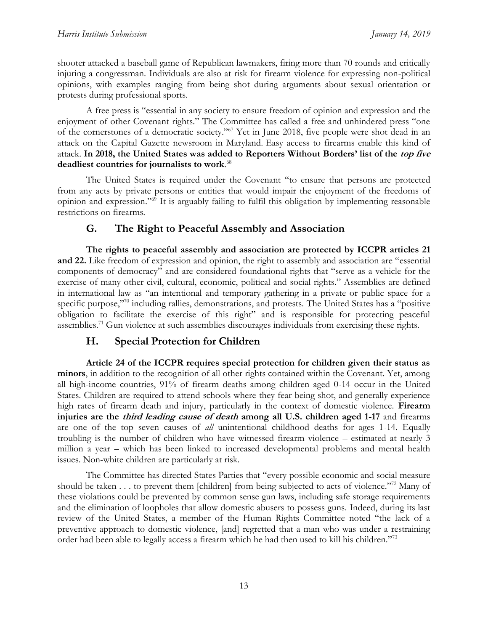shooter attacked a baseball game of Republican lawmakers, firing more than 70 rounds and critically injuring a congressman. Individuals are also at risk for firearm violence for expressing non-political opinions, with examples ranging from being shot during arguments about sexual orientation or protests during professional sports.

A free press is "essential in any society to ensure freedom of opinion and expression and the enjoyment of other Covenant rights." The Committee has called a free and unhindered press "one of the cornerstones of a democratic society."<sup>67</sup> Yet in June 2018, five people were shot dead in an attack on the Capital Gazette newsroom in Maryland. Easy access to firearms enable this kind of attack. **In 2018, the United States was added to Reporters Without Borders' list of the top five deadliest countries for journalists to work**. 68

The United States is required under the Covenant "to ensure that persons are protected from any acts by private persons or entities that would impair the enjoyment of the freedoms of opinion and expression."<sup>69</sup> It is arguably failing to fulfil this obligation by implementing reasonable restrictions on firearms.

## **G. The Right to Peaceful Assembly and Association**

**The rights to peaceful assembly and association are protected by ICCPR articles 21 and 22.** Like freedom of expression and opinion, the right to assembly and association are "essential components of democracy" and are considered foundational rights that "serve as a vehicle for the exercise of many other civil, cultural, economic, political and social rights." Assemblies are defined in international law as "an intentional and temporary gathering in a private or public space for a specific purpose,"<sup>70</sup> including rallies, demonstrations, and protests. The United States has a "positive obligation to facilitate the exercise of this right" and is responsible for protecting peaceful assemblies.<sup>71</sup> Gun violence at such assemblies discourages individuals from exercising these rights.

# **H. Special Protection for Children**

**Article 24 of the ICCPR requires special protection for children given their status as minors**, in addition to the recognition of all other rights contained within the Covenant. Yet, among all high-income countries, 91% of firearm deaths among children aged 0-14 occur in the United States. Children are required to attend schools where they fear being shot, and generally experience high rates of firearm death and injury, particularly in the context of domestic violence. **Firearm injuries are the third leading cause of death among all U.S. children aged 1-17** and firearms are one of the top seven causes of *all* unintentional childhood deaths for ages 1-14. Equally troubling is the number of children who have witnessed firearm violence – estimated at nearly 3 million a year – which has been linked to increased developmental problems and mental health issues. Non-white children are particularly at risk.

The Committee has directed States Parties that "every possible economic and social measure should be taken . . . to prevent them [children] from being subjected to acts of violence."<sup>72</sup> Many of these violations could be prevented by common sense gun laws, including safe storage requirements and the elimination of loopholes that allow domestic abusers to possess guns. Indeed, during its last review of the United States, a member of the Human Rights Committee noted "the lack of a preventive approach to domestic violence, [and] regretted that a man who was under a restraining order had been able to legally access a firearm which he had then used to kill his children."73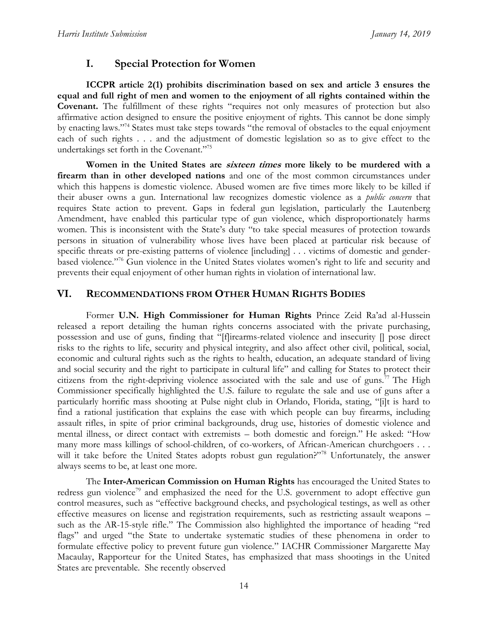# **I. Special Protection for Women**

**ICCPR article 2(1) prohibits discrimination based on sex and article 3 ensures the equal and full right of men and women to the enjoyment of all rights contained within the Covenant.** The fulfillment of these rights "requires not only measures of protection but also affirmative action designed to ensure the positive enjoyment of rights. This cannot be done simply by enacting laws."<sup>74</sup> States must take steps towards "the removal of obstacles to the equal enjoyment each of such rights . . . and the adjustment of domestic legislation so as to give effect to the undertakings set forth in the Covenant."<sup>75</sup>

**Women in the United States are sixteen times more likely to be murdered with a firearm than in other developed nations** and one of the most common circumstances under which this happens is domestic violence. Abused women are five times more likely to be killed if their abuser owns a gun. International law recognizes domestic violence as a *public concern* that requires State action to prevent. Gaps in federal gun legislation, particularly the Lautenberg Amendment, have enabled this particular type of gun violence, which disproportionately harms women. This is inconsistent with the State's duty "to take special measures of protection towards persons in situation of vulnerability whose lives have been placed at particular risk because of specific threats or pre-existing patterns of violence [including] . . . victims of domestic and genderbased violence."<sup>76</sup> Gun violence in the United States violates women's right to life and security and prevents their equal enjoyment of other human rights in violation of international law.

#### **VI. RECOMMENDATIONS FROM OTHER HUMAN RIGHTS BODIES**

Former **U.N. High Commissioner for Human Rights** Prince Zeid Ra'ad al-Hussein released a report detailing the human rights concerns associated with the private purchasing, possession and use of guns, finding that "[f]irearms-related violence and insecurity [] pose direct risks to the rights to life, security and physical integrity, and also affect other civil, political, social, economic and cultural rights such as the rights to health, education, an adequate standard of living and social security and the right to participate in cultural life" and calling for States to protect their citizens from the right-depriving violence associated with the sale and use of guns.<sup>77</sup> The High Commissioner specifically highlighted the U.S. failure to regulate the sale and use of guns after a particularly horrific mass shooting at Pulse night club in Orlando, Florida, stating, "[i]t is hard to find a rational justification that explains the ease with which people can buy firearms, including assault rifles, in spite of prior criminal backgrounds, drug use, histories of domestic violence and mental illness, or direct contact with extremists – both domestic and foreign." He asked: "How many more mass killings of school-children, of co-workers, of African-American churchgoers . . . will it take before the United States adopts robust gun regulation?"<sup>78</sup> Unfortunately, the answer always seems to be, at least one more.

The **Inter-American Commission on Human Rights** has encouraged the United States to redress gun violence<sup>79</sup> and emphasized the need for the U.S. government to adopt effective gun control measures, such as "effective background checks, and psychological testings, as well as other effective measures on license and registration requirements, such as restricting assault weapons – such as the AR-15-style rifle." The Commission also highlighted the importance of heading "red flags" and urged "the State to undertake systematic studies of these phenomena in order to formulate effective policy to prevent future gun violence." IACHR Commissioner Margarette May Macaulay, Rapporteur for the United States, has emphasized that mass shootings in the United States are preventable. She recently observed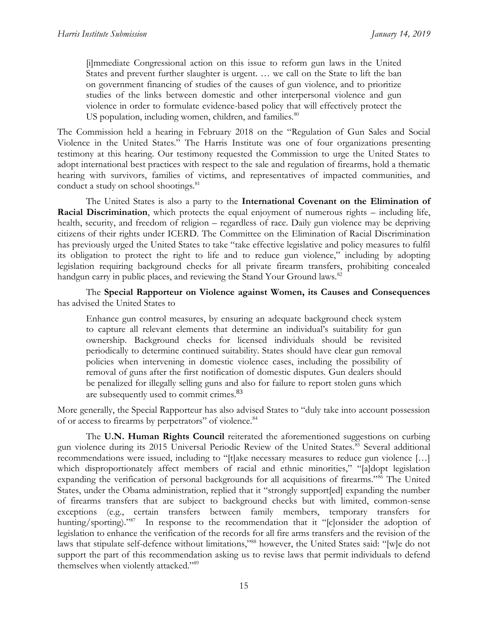[i]mmediate Congressional action on this issue to reform gun laws in the United States and prevent further slaughter is urgent. … we call on the State to lift the ban on government financing of studies of the causes of gun violence, and to prioritize studies of the links between domestic and other interpersonal violence and gun violence in order to formulate evidence-based policy that will effectively protect the US population, including women, children, and families.<sup>80</sup>

The Commission held a hearing in February 2018 on the "Regulation of Gun Sales and Social Violence in the United States." The Harris Institute was one of four organizations presenting testimony at this hearing. Our testimony requested the Commission to urge the United States to adopt international best practices with respect to the sale and regulation of firearms, hold a thematic hearing with survivors, families of victims, and representatives of impacted communities, and conduct a study on school shootings.<sup>81</sup>

The United States is also a party to the **International Covenant on the Elimination of Racial Discrimination**, which protects the equal enjoyment of numerous rights – including life, health, security, and freedom of religion – regardless of race. Daily gun violence may be depriving citizens of their rights under ICERD. The Committee on the Elimination of Racial Discrimination has previously urged the United States to take "take effective legislative and policy measures to fulfil its obligation to protect the right to life and to reduce gun violence," including by adopting legislation requiring background checks for all private firearm transfers, prohibiting concealed handgun carry in public places, and reviewing the Stand Your Ground laws.<sup>82</sup>

The **Special Rapporteur on Violence against Women, its Causes and Consequences** has advised the United States to

Enhance gun control measures, by ensuring an adequate background check system to capture all relevant elements that determine an individual's suitability for gun ownership. Background checks for licensed individuals should be revisited periodically to determine continued suitability. States should have clear gun removal policies when intervening in domestic violence cases, including the possibility of removal of guns after the first notification of domestic disputes. Gun dealers should be penalized for illegally selling guns and also for failure to report stolen guns which are subsequently used to commit crimes.<sup>83</sup>

More generally, the Special Rapporteur has also advised States to "duly take into account possession of or access to firearms by perpetrators" of violence.<sup>84</sup>

The **U.N. Human Rights Council** reiterated the aforementioned suggestions on curbing gun violence during its 2015 Universal Periodic Review of the United States.<sup>85</sup> Several additional recommendations were issued, including to "[t]ake necessary measures to reduce gun violence […] which disproportionately affect members of racial and ethnic minorities," "[a]dopt legislation expanding the verification of personal backgrounds for all acquisitions of firearms."<sup>86</sup> The United States, under the Obama administration, replied that it "strongly support[ed] expanding the number of firearms transfers that are subject to background checks but with limited, common-sense exceptions (e.g., certain transfers between family members, temporary transfers for hunting/sporting)."<sup>87</sup> In response to the recommendation that it "[c]onsider the adoption of legislation to enhance the verification of the records for all fire arms transfers and the revision of the laws that stipulate self-defence without limitations,"<sup>88</sup> however, the United States said: "[w]e do not support the part of this recommendation asking us to revise laws that permit individuals to defend themselves when violently attacked."<sup>89</sup>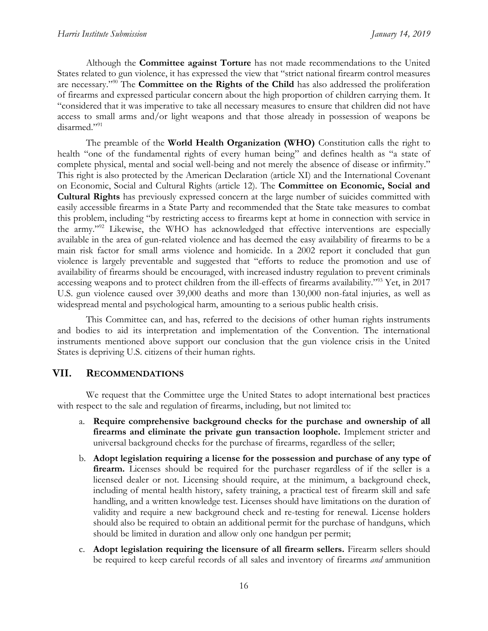Although the **Committee against Torture** has not made recommendations to the United States related to gun violence, it has expressed the view that "strict national firearm control measures are necessary."<sup>90</sup> The **Committee on the Rights of the Child** has also addressed the proliferation of firearms and expressed particular concern about the high proportion of children carrying them. It "considered that it was imperative to take all necessary measures to ensure that children did not have access to small arms and/or light weapons and that those already in possession of weapons be disarmed."<sup>91</sup>

The preamble of the **World Health Organization (WHO)** Constitution calls the right to health "one of the fundamental rights of every human being" and defines health as "a state of complete physical, mental and social well-being and not merely the absence of disease or infirmity." This right is also protected by the American Declaration (article XI) and the International Covenant on Economic, Social and Cultural Rights (article 12). The **Committee on Economic, Social and Cultural Rights** has previously expressed concern at the large number of suicides committed with easily accessible firearms in a State Party and recommended that the State take measures to combat this problem, including "by restricting access to firearms kept at home in connection with service in the army."<sup>92</sup> Likewise, the WHO has acknowledged that effective interventions are especially available in the area of gun-related violence and has deemed the easy availability of firearms to be a main risk factor for small arms violence and homicide. In a 2002 report it concluded that gun violence is largely preventable and suggested that "efforts to reduce the promotion and use of availability of firearms should be encouraged, with increased industry regulation to prevent criminals accessing weapons and to protect children from the ill-effects of firearms availability."<sup>93</sup> Yet, in 2017 U.S. gun violence caused over 39,000 deaths and more than 130,000 non-fatal injuries, as well as widespread mental and psychological harm, amounting to a serious public health crisis.

This Committee can, and has, referred to the decisions of other human rights instruments and bodies to aid its interpretation and implementation of the Convention. The international instruments mentioned above support our conclusion that the gun violence crisis in the United States is depriving U.S. citizens of their human rights.

#### **VII. RECOMMENDATIONS**

We request that the Committee urge the United States to adopt international best practices with respect to the sale and regulation of firearms, including, but not limited to:

- a. **Require comprehensive background checks for the purchase and ownership of all firearms and eliminate the private gun transaction loophole.** Implement stricter and universal background checks for the purchase of firearms, regardless of the seller;
- b. **Adopt legislation requiring a license for the possession and purchase of any type of firearm.** Licenses should be required for the purchaser regardless of if the seller is a licensed dealer or not. Licensing should require, at the minimum, a background check, including of mental health history, safety training, a practical test of firearm skill and safe handling, and a written knowledge test. Licenses should have limitations on the duration of validity and require a new background check and re-testing for renewal. License holders should also be required to obtain an additional permit for the purchase of handguns, which should be limited in duration and allow only one handgun per permit;
- c. **Adopt legislation requiring the licensure of all firearm sellers.** Firearm sellers should be required to keep careful records of all sales and inventory of firearms *and* ammunition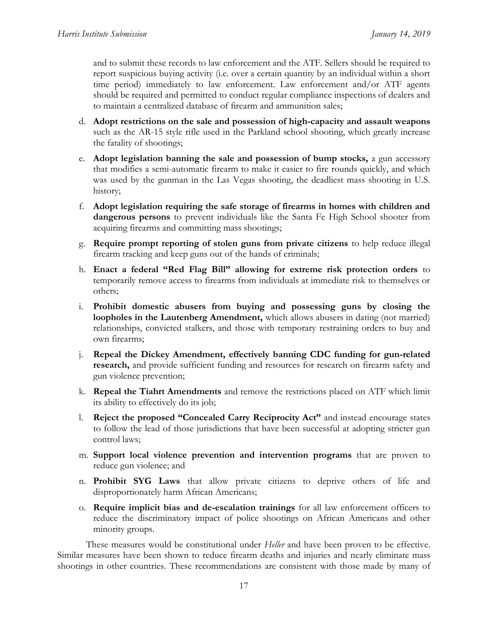and to submit these records to law enforcement and the ATF. Sellers should be required to report suspicious buying activity (i.e. over a certain quantity by an individual within a short time period) immediately to law enforcement. Law enforcement and/or ATF agents should be required and permitted to conduct regular compliance inspections of dealers and to maintain a centralized database of firearm and ammunition sales;

- d. **Adopt restrictions on the sale and possession of high-capacity and assault weapons** such as the AR-15 style rifle used in the Parkland school shooting, which greatly increase the fatality of shootings;
- e. **Adopt legislation banning the sale and possession of bump stocks,** a gun accessory that modifies a semi-automatic firearm to make it easier to fire rounds quickly, and which was used by the gunman in the Las Vegas shooting, the deadliest mass shooting in U.S. history;
- f. **Adopt legislation requiring the safe storage of firearms in homes with children and dangerous persons** to prevent individuals like the Santa Fe High School shooter from acquiring firearms and committing mass shootings;
- g. **Require prompt reporting of stolen guns from private citizens** to help reduce illegal firearm tracking and keep guns out of the hands of criminals;
- h. **Enact a federal "Red Flag Bill" allowing for extreme risk protection orders** to temporarily remove access to firearms from individuals at immediate risk to themselves or others;
- i. **Prohibit domestic abusers from buying and possessing guns by closing the loopholes in the Lautenberg Amendment,** which allows abusers in dating (not married) relationships, convicted stalkers, and those with temporary restraining orders to buy and own firearms;
- j. **Repeal the Dickey Amendment, effectively banning CDC funding for gun-related research,** and provide sufficient funding and resources for research on firearm safety and gun violence prevention;
- k. **Repeal the Tiahrt Amendments** and remove the restrictions placed on ATF which limit its ability to effectively do its job;
- l. **Reject the proposed "Concealed Carry Reciprocity Act"** and instead encourage states to follow the lead of those jurisdictions that have been successful at adopting stricter gun control laws;
- m. **Support local violence prevention and intervention programs** that are proven to reduce gun violence; and
- n. **Prohibit SYG Laws** that allow private citizens to deprive others of life and disproportionately harm African Americans;
- o. **Require implicit bias and de-escalation trainings** for all law enforcement officers to reduce the discriminatory impact of police shootings on African Americans and other minority groups.

These measures would be constitutional under *Heller* and have been proven to be effective. Similar measures have been shown to reduce firearm deaths and injuries and nearly eliminate mass shootings in other countries. These recommendations are consistent with those made by many of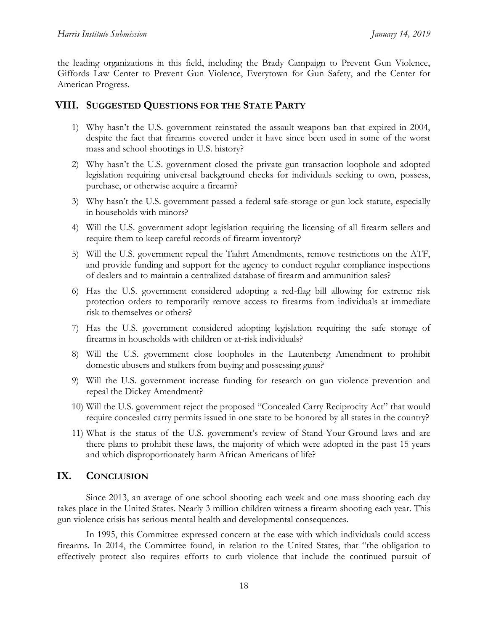the leading organizations in this field, including the Brady Campaign to Prevent Gun Violence, Giffords Law Center to Prevent Gun Violence, Everytown for Gun Safety, and the Center for American Progress.

#### **VIII. SUGGESTED QUESTIONS FOR THE STATE PARTY**

- 1) Why hasn't the U.S. government reinstated the assault weapons ban that expired in 2004, despite the fact that firearms covered under it have since been used in some of the worst mass and school shootings in U.S. history?
- 2) Why hasn't the U.S. government closed the private gun transaction loophole and adopted legislation requiring universal background checks for individuals seeking to own, possess, purchase, or otherwise acquire a firearm?
- 3) Why hasn't the U.S. government passed a federal safe-storage or gun lock statute, especially in households with minors?
- 4) Will the U.S. government adopt legislation requiring the licensing of all firearm sellers and require them to keep careful records of firearm inventory?
- 5) Will the U.S. government repeal the Tiahrt Amendments, remove restrictions on the ATF, and provide funding and support for the agency to conduct regular compliance inspections of dealers and to maintain a centralized database of firearm and ammunition sales?
- 6) Has the U.S. government considered adopting a red-flag bill allowing for extreme risk protection orders to temporarily remove access to firearms from individuals at immediate risk to themselves or others?
- 7) Has the U.S. government considered adopting legislation requiring the safe storage of firearms in households with children or at-risk individuals?
- 8) Will the U.S. government close loopholes in the Lautenberg Amendment to prohibit domestic abusers and stalkers from buying and possessing guns?
- 9) Will the U.S. government increase funding for research on gun violence prevention and repeal the Dickey Amendment?
- 10) Will the U.S. government reject the proposed "Concealed Carry Reciprocity Act" that would require concealed carry permits issued in one state to be honored by all states in the country?
- 11) What is the status of the U.S. government's review of Stand-Your-Ground laws and are there plans to prohibit these laws, the majority of which were adopted in the past 15 years and which disproportionately harm African Americans of life?

## **IX. CONCLUSION**

Since 2013, an average of one school shooting each week and one mass shooting each day takes place in the United States. Nearly 3 million children witness a firearm shooting each year. This gun violence crisis has serious mental health and developmental consequences.

In 1995, this Committee expressed concern at the ease with which individuals could access firearms. In 2014, the Committee found, in relation to the United States, that "the obligation to effectively protect also requires efforts to curb violence that include the continued pursuit of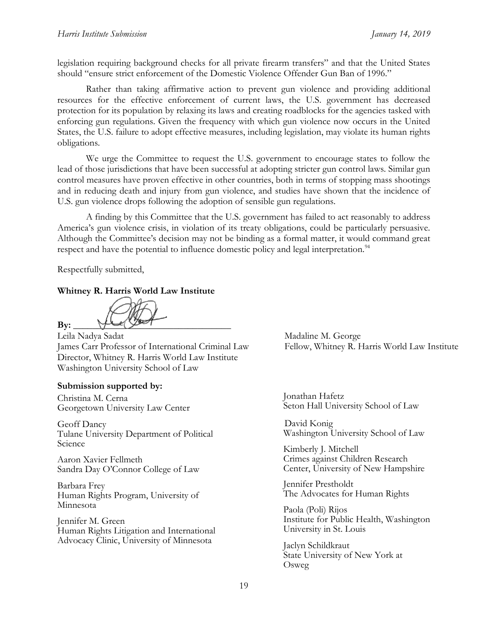legislation requiring background checks for all private firearm transfers" and that the United States should "ensure strict enforcement of the Domestic Violence Offender Gun Ban of 1996."

Rather than taking affirmative action to prevent gun violence and providing additional resources for the effective enforcement of current laws, the U.S. government has decreased protection for its population by relaxing its laws and creating roadblocks for the agencies tasked with enforcing gun regulations. Given the frequency with which gun violence now occurs in the United States, the U.S. failure to adopt effective measures, including legislation, may violate its human rights obligations.

We urge the Committee to request the U.S. government to encourage states to follow the lead of those jurisdictions that have been successful at adopting stricter gun control laws. Similar gun control measures have proven effective in other countries, both in terms of stopping mass shootings and in reducing death and injury from gun violence, and studies have shown that the incidence of U.S. gun violence drops following the adoption of sensible gun regulations.

A finding by this Committee that the U.S. government has failed to act reasonably to address America's gun violence crisis, in violation of its treaty obligations, could be particularly persuasive. Although the Committee's decision may not be binding as a formal matter, it would command great respect and have the potential to influence domestic policy and legal interpretation.<sup>94</sup>

Respectfully submitted,

#### **Whitney R. Harris World Law Institute**

 $\mathbf{B} \mathbf{y}: \underline{\hspace{1cm}} \forall \mathbf{B} \mathbf{y}: \underline{\hspace{1cm}} \forall \mathbf{B}$ 

Leila Nadya Sadat Madaline M. George James Carr Professor of International Criminal Law Fellow, Whitney R. Harris World Law Institute Director, Whitney R. Harris World Law Institute Washington University School of Law

#### **Submission supported by:**

Christina M. Cerna Georgetown University Law Center

Geoff Dancy Tulane University Department of Political Science

Aaron Xavier Fellmeth Sandra Day O'Connor College of Law

Barbara Frey Human Rights Program, University of Minnesota

Jennifer M. Green Human Rights Litigation and International Advocacy Clinic, University of Minnesota

Jonathan Hafetz Seton Hall University School of Law

 David Konig Washington University School of Law

Kimberly J. Mitchell Crimes against Children Research Center, University of New Hampshire

Jennifer Prestholdt The Advocates for Human Rights

Paola (Poli) Rijos Institute for Public Health, Washington University in St. Louis

Jaclyn Schildkraut State University of New York at Osweg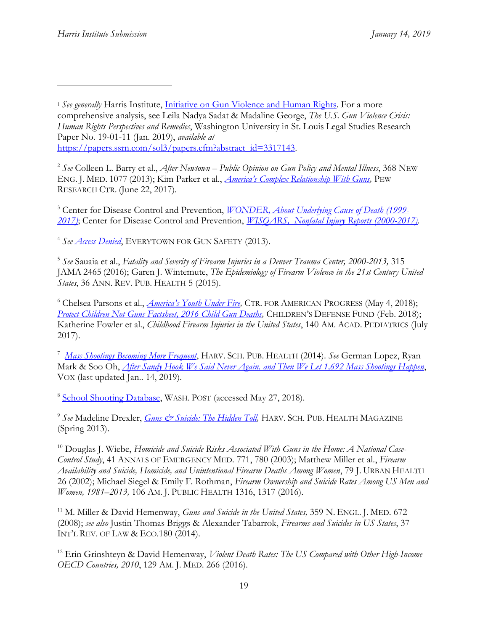2 *See* Colleen L. Barry et al., *After Newtown – Public Opinion on Gun Policy and Mental Illness*, 368 NEW ENG. J. MED. 1077 (2013); Kim Parker et al., *[America's Complex Relationship With Guns](http://www.pewsocialtrends.org/2017/06/22/americas-complex-relationship-with-guns/),* PEW RESEARCH CTR. (June 22, 2017).

<sup>3</sup> Center for Disease Control and Prevention, *[WONDER, About Underlying Cause of Death \(1999-](https://wonder.cdc.gov/controller/saved/D76/D48F344) [2017\)](https://wonder.cdc.gov/controller/saved/D76/D48F344)*; Center for Disease Control and Prevention, *[WISQARS, Nonfatal Injury Reports \(2000-2017\)](https://webappa.cdc.gov/sasweb/ncipc/nfirates.html)*.

4 *See [Access Denied](https://everytownresearch.org/reports/access-denied/)*, EVERYTOWN FOR GUN SAFETY (2013).

5 *See* Sauaia et al., *Fatality and Severity of Firearm Injuries in a Denver Trauma Center, 2000-2013,* 315 JAMA 2465 (2016); Garen J. Wintemute, *The Epidemiology of Firearm Violence in the 21st Century United States*, 36 ANN. REV. PUB. HEALTH 5 (2015).

<sup>6</sup> Chelsea Parsons et al., *[America's Youth Under Fire](http://www.americanprogress.org/issues/guns-crime/reports/2018/05/04/450343/americas-youth-fire/),* CTR. FOR AMERICAN PROGRESS (May 4, 2018); *[Protect Children Not Guns Factsheet, 2016 Child Gun Deaths,](http://www.childrensdefense.org/wp-content/uploads/2018/08/cdf-protect-children-not-guns.pdf)* CHILDREN'S DEFENSE FUND (Feb. 2018); Katherine Fowler et al., *Childhood Firearm Injuries in the United States*, 140 AM. ACAD. PEDIATRICS (July 2017).

<sup>7</sup> *[Mass Shootings Becoming More Frequent](http://www.hsph.harvard.edu/news/hsph-in-the-news/mass-shootings-becoming-more-frequent/)*, HARV. SCH. PUB. HEALTH (2014). *See* German Lopez, Ryan Mark & Soo Oh, *[After Sandy Hook We Said Never Again. and Then We Let 1,692 Mass Shootings Happen](http://www.vox.com/a/mass-shootings-sandy-hook)*, VOX (last updated Jan.. 14, 2019).

<sup>8</sup> [School Shooting Database,](https://www.washingtonpost.com/graphics/2018/local/school-shootings-database/?utm_term=.98691a5f45d5) WASH. POST (accessed May 27, 2018).

<sup>9</sup> See Madeline Drexler, *Guns & Suicide: The Hidden Toll*, HARV. SCH. PUB. HEALTH MAGAZINE (Spring 2013).

<sup>10</sup> Douglas J. Wiebe, *Homicide and Suicide Risks Associated With Guns in the Home: A National Case-Control Study*, 41 ANNALS OF EMERGENCY MED. 771, 780 (2003); Matthew Miller et al., *Firearm Availability and Suicide, Homicide, and Unintentional Firearm Deaths Among Women*, 79 J. URBAN HEALTH 26 (2002); Michael Siegel & Emily F. Rothman, *Firearm Ownership and Suicide Rates Among US Men and Women, 1981–2013,* 106 AM. J. PUBLIC HEALTH 1316, 1317 (2016).

<sup>11</sup> M. Miller & David Hemenway, *Guns and Suicide in the United States,* 359 N. ENGL. J. MED. 672 (2008); *see also* Justin Thomas Briggs & Alexander Tabarrok, *Firearms and Suicides in US States*, 37 INT'L REV. OF LAW & ECO.180 (2014).

<sup>12</sup> Erin Grinshteyn & David Hemenway, *Violent Death Rates: The US Compared with Other High-Income OECD Countries, 2010*, 129 AM. J. MED. 266 (2016).

<sup>&</sup>lt;sup>1</sup> See generally Harris Institute, *Initiative on Gun Violence and Human Rights*. For a more comprehensive analysis, see Leila Nadya Sadat & Madaline George, *The U.S. Gun Violence Crisis: Human Rights Perspectives and Remedies*, Washington University in St. Louis Legal Studies Research Paper No. 19-01-11 (Jan. 2019), *available at* [https://papers.ssrn.com/sol3/papers.cfm?abstract\\_id=3317143.](https://papers.ssrn.com/sol3/papers.cfm?abstract_id=3317143)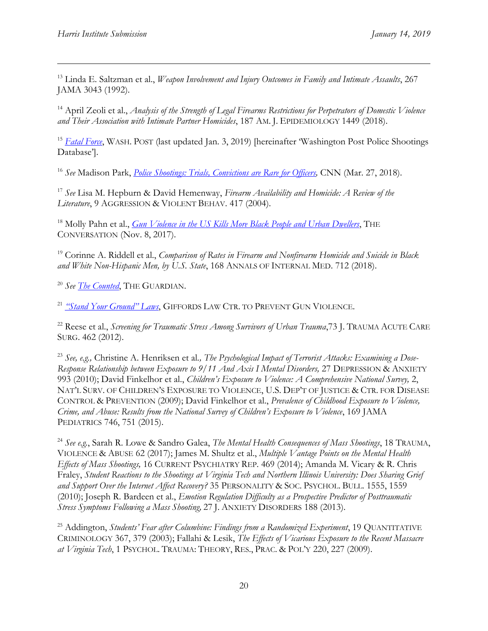<sup>13</sup> Linda E. Saltzman et al., *Weapon Involvement and Injury Outcomes in Family and Intimate Assaults*, 267 JAMA 3043 (1992).

<sup>14</sup> April Zeoli et al., *Analysis of the Strength of Legal Firearms Restrictions for Perpetrators of Domestic Violence and Their Association with Intimate Partner Homicides*, 187 AM. J. EPIDEMIOLOGY 1449 (2018).

<sup>15</sup> *[Fatal Force](https://www.washingtonpost.com/graphics/2018/national/police-shootings-2018/?utm_term=.9496a23021c7)*, WASH. POST (last updated Jan. 3, 2019) [hereinafter 'Washington Post Police Shootings Database'].

<sup>16</sup> *See* Madison Park, *[Police Shootings: Trials, Convictions are Rare for Officers,](https://www.cnn.com/2017/05/18/us/police-involved-shooting-cases/index.html)* CNN (Mar. 27, 2018).

<sup>17</sup> *See* Lisa M. Hepburn & David Hemenway, *Firearm Availability and Homicide: A Review of the Literature*, 9 AGGRESSION & VIOLENT BEHAV. 417 (2004).

<sup>18</sup> Molly Pahn et al., *[Gun Violence in the US Kills More Black People and Urban Dwellers](https://theconversation.com/gun-violence-in-the-us-kills-more-black-people-and-urban-dwellers-86825)*, THE CONVERSATION (Nov. 8, 2017).

<sup>19</sup> Corinne A. Riddell et al., *Comparison of Rates in Firearm and Nonfirearm Homicide and Suicide in Black and White Non-Hispanic Men, by U.S. State*, 168 ANNALS OF INTERNAL MED. 712 (2018).

<sup>20</sup> *See [The Counted](https://www.theguardian.com/us-news/series/counted-us-police-killings)*, THE GUARDIAN.

<sup>21</sup> *["Stand Your Ground" Laws](https://lawcenter.giffords.org/gun-laws/policy-areas/guns-in-public/stand-your-ground-laws/)*, GIFFORDS LAW CTR. TO PREVENT GUN VIOLENCE.

<sup>22</sup> Reese et al., *Screening for Traumatic Stress Among Survivors of Urban Trauma*,73 J. TRAUMA ACUTE CARE SURG. 462 (2012).

<sup>23</sup> *See, e.g.,* Christine A. Henriksen et al*., The Psychological Impact of Terrorist Attacks: Examining a Dose-Response Relationship between Exposure to 9/11 And Axis I Mental Disorders,* 27 DEPRESSION & ANXIETY 993 (2010); David Finkelhor et al., *Children's Exposure to Violence: A Comprehensive National Survey,* 2, NAT'L SURV. OF CHILDREN'S EXPOSURE TO VIOLENCE, U.S. DEP'T OF JUSTICE & CTR. FOR DISEASE CONTROL & PREVENTION (2009); David Finkelhor et al., *Prevalence of Childhood Exposure to Violence, Crime, and Abuse: Results from the National Survey of Children's Exposure to Violence*, 169 JAMA PEDIATRICS 746, 751 (2015).

<sup>24</sup> *See e.g.*, Sarah R. Lowe & Sandro Galea, *The Mental Health Consequences of Mass Shootings*, 18 TRAUMA, VIOLENCE & ABUSE 62 (2017); James M. Shultz et al., *Multiple Vantage Points on the Mental Health Effects of Mass Shootings,* 16 CURRENT PSYCHIATRY REP. 469 (2014); Amanda M. Vicary & R. Chris Fraley, *Student Reactions to the Shootings at Virginia Tech and Northern Illinois University: Does Sharing Grief and Support Over the Internet Affect Recovery?* 35 PERSONALITY & SOC. PSYCHOL. BULL. 1555, 1559 (2010); Joseph R. Bardeen et al., *Emotion Regulation Difficulty as a Prospective Predictor of Posttraumatic Stress Symptoms Following a Mass Shooting,* 27 J. ANXIETY DISORDERS 188 (2013).

<sup>25</sup> Addington, *Students' Fear after Columbine: Findings from a Randomized Experiment*, 19 QUANTITATIVE CRIMINOLOGY 367, 379 (2003); Fallahi & Lesik, *The Effects of Vicarious Exposure to the Recent Massacre at Virginia Tech*, 1 PSYCHOL. TRAUMA: THEORY, RES., PRAC. & POL'Y 220, 227 (2009).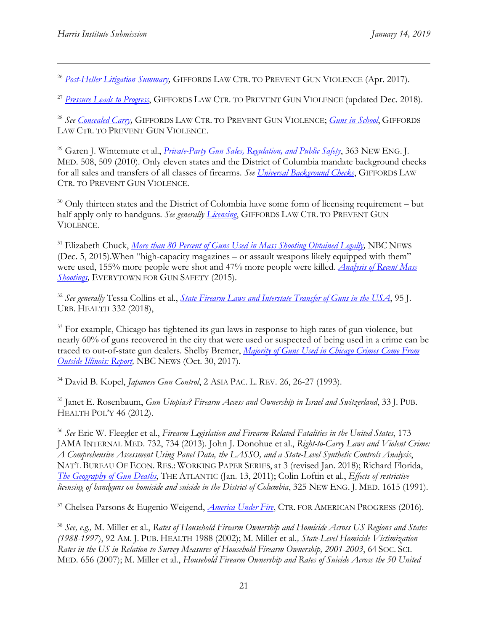<sup>26</sup> *Post-Heller Litigation Summary*, GIFFORDS LAW CTR. TO PREVENT GUN VIOLENCE (Apr. 2017).

<sup>27</sup> [Pressure Leads to Progress](https://giffords.org/about/our-victories/pressure-leads-to-progress/), GIFFORDS LAW CTR. TO PREVENT GUN VIOLENCE (updated Dec. 2018).

<sup>28</sup> *See [Concealed Carry,](https://lawcenter.giffords.org/gun-laws/policy-areas/guns-in-public/concealed-carry/)* GIFFORDS LAW CTR. TO PREVENT GUN VIOLENCE; *[Guns in School](http://lawcenter.giffords.org/gun-laws/policy-areas/guns-in-public/guns-in-schools/)*, GIFFORDS LAW CTR. TO PREVENT GUN VIOLENCE.

<sup>29</sup> Garen J. Wintemute et al., *[Private-Party Gun Sales, Regulation, and Public Safety](https://www.nejm.org/doi/pdf/10.1056/NEJMp1006326)*, 363 NEW ENG. J. MED. 508, 509 (2010). Only eleven states and the District of Columbia mandate background checks for all sales and transfers of all classes of firearms. *See [Universal Background Checks](https://lawcenter.giffords.org/gun-laws/policy-areas/background-checks/universal-background-checks/)*, GIFFORDS LAW CTR. TO PREVENT GUN VIOLENCE.

<sup>30</sup> Only thirteen states and the District of Colombia have some form of licensing requirement – but half apply only to handguns. *See generally [Licensing](https://lawcenter.giffords.org/gun-laws/policy-areas/gun-owner-responsibilities/licensing/)*, GIFFORDS LAW CTR. TO PREVENT GUN VIOLENCE.

<sup>31</sup> Elizabeth Chuck, *More than 80 Percent of Guns Used in Mass Shooting Obtained Legally*, NBC NEWS (Dec. 5, 2015).When "high-capacity magazines – or assault weapons likely equipped with them" were used, 155% more people were shot and 47% more people were killed. *[Analysis of Recent Mass](https://everytownresearch.org/documents/2015/04/analysis-of-recent-mass-shootings.pdf)  [Shootings,](https://everytownresearch.org/documents/2015/04/analysis-of-recent-mass-shootings.pdf)* EVERYTOWN FOR GUN SAFETY (2015).

<sup>32</sup> *See generally* Tessa Collins et al., *[State Firearm Laws and Interstate Transfer of Guns in the USA](file://///lawfs01/share/CIS%20-%20Harris%20Institute/HI%20Fellow%20Folders/2018-2019%20Maddy/Gun%20Violence%20Project/HRC%20Submission/link.springer.com/content/pdf/10.1007/s11524-018-0251-9.pdf)*, 95 J. URB. HEALTH 332 (2018),

<sup>33</sup> For example, Chicago has tightened its gun laws in response to high rates of gun violence, but nearly 60% of guns recovered in the city that were used or suspected of being used in a crime can be traced to out-of-state gun dealers. Shelby Bremer, *[Majority of Guns Used in Chicago Crimes Come From](http://www.nbcchicago.com/blogs/ward-room/chicago-gun-trace-report-2017-454016983.html)  [Outside Illinois: Report,](http://www.nbcchicago.com/blogs/ward-room/chicago-gun-trace-report-2017-454016983.html)* NBC NEWS (Oct. 30, 2017).

<sup>34</sup> David B. Kopel, *Japanese Gun Control*, 2 ASIA PAC. L. REV. 26, 26-27 (1993).

<sup>35</sup> Janet E. Rosenbaum, *Gun Utopias? Firearm Access and Ownership in Israel and Switzerland*, 33 J. PUB. HEALTH POL'Y 46 (2012).

<sup>36</sup> *See* Eric W. Fleegler et al., *Firearm Legislation and Firearm-Related Fatalities in the United States*, 173 JAMA INTERNAL MED. 732, 734 (2013). John J. Donohue et al., *Right-to-Carry Laws and Violent Crime: A Comprehensive Assessment Using Panel Data, the LASSO, and a State-Level Synthetic Controls Analysis*, NAT'L BUREAU OF ECON. RES.: WORKING PAPER SERIES, at 3 (revised Jan. 2018); Richard Florida, *[The Geography of Gun Deaths](http://www.theatlantic.com/national/archive/2011/01/the-geography-of-gun-deaths/69354/)*, THE ATLANTIC (Jan. 13, 2011); Colin Loftin et al., *Effects of restrictive licensing of handguns on homicide and suicide in the District of Columbia*, 325 NEW ENG. J. MED. 1615 (1991).

<sup>37</sup> Chelsea Parsons & Eugenio Weigend, *[America Under Fire](file:///C:/Users/sadat/AppData/Local/Microsoft/Windows/Temporary%20Internet%20Files/Content.Outlook/X57MN6V6/cdn.americanprogress.org/wp-content/uploads/2016/10/11100940/AmericaUnderFire-report.pdf)*, CTR. FOR AMERICAN PROGRESS (2016).

<sup>38</sup> *See, e.g.,* M. Miller et al., *Rates of Household Firearm Ownership and Homicide Across US Regions and States (1988-1997*), 92 AM. J. PUB. HEALTH 1988 (2002); M. Miller et al*., State-Level Homicide Victimization Rates in the US in Relation to Survey Measures of Household Firearm Ownership, 2001-2003*, 64 SOC. SCI. MED. 656 (2007); M. Miller et al., *Household Firearm Ownership and Rates of Suicide Across the 50 United*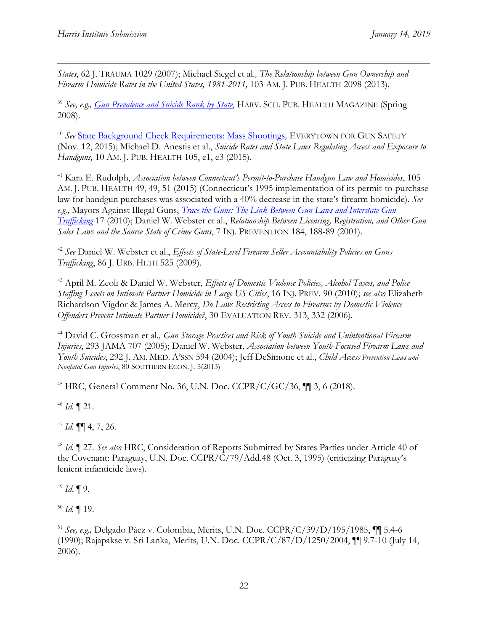$\overline{a}$ *States*, 62 J. TRAUMA 1029 (2007); Michael Siegel et al*., The Relationship between Gun Ownership and*  Firearm Homicide Rates in the United States, 1981-2011, 103 AM. J. PUB. HEALTH 2098 (2013).

<sup>39</sup> *See, e.g., [Gun Prevalence and Suicide Rank by State](http://www.hsph.harvard.edu/news/magazine/spr08gunprevalence/)*, HARV. SCH. PUB. HEALTH MAGAZINE (Spring 2008).

<sup>40</sup> *See* State Background Check [Requirements:](https://everytown.org/press/new-research-states-with-background-checks-experience-fewer-mass-shootings/) Mass Shootings*,* EVERYTOWN FOR GUN SAFETY (Nov. 12, 2015); Michael D. Anestis et al., *Suicide Rates and State Laws Regulating Access and Exposure to Handguns,* 10 AM. J. PUB. HEALTH 105, e1, e3 (2015).

<sup>41</sup> Kara E. Rudolph, *Association between Connecticut's Permit-to-Purchase Handgun Law and Homicides*, 105 AM. J. PUB. HEALTH 49, 49, 51 (2015) (Connecticut's 1995 implementation of its permit-to-purchase law for handgun purchases was associated with a 40% decrease in the state's firearm homicide). *See e.g.,* Mayors Against Illegal Guns, *[Trace the Guns: The Link Between Gun Laws and Interstate Gun](http://tracetheguns.org/report.pdf)  [Trafficking](http://tracetheguns.org/report.pdf)* 17 (2010); Daniel W. Webster et al., *Relationship Between Licensing, Registration, and Other Gun Sales Laws and the Source State of Crime Guns*, 7 INJ. PREVENTION 184, 188-89 (2001).

<sup>42</sup> *See* Daniel W. Webster et al., *Effects of State-Level Firearm Seller Accountability Policies on Guns Trafficking*, 86 J. URB. HLTH 525 (2009).

<sup>43</sup> April M. Zeoli & Daniel W. Webster, *Effects of Domestic Violence Policies, Alcohol Taxes, and Police Staffing Levels on Intimate Partner Homicide in Large US Cities*, 16 INJ. PREV. 90 (2010); *see also* Elizabeth Richardson Vigdor & James A. Mercy, *Do Laws Restricting Access to Firearms by Domestic Violence Offenders Prevent Intimate Partner Homicide?*, 30 EVALUATION REV. 313, 332 (2006).

<sup>44</sup> David C. Grossman et al*., Gun Storage Practices and Risk of Youth Suicide and Unintentional Firearm Injuries*, 293 JAMA 707 (2005); Daniel W. Webster, *Association between Youth-Focused Firearm Laws and Youth Suicides*, 292 J. AM. MED. A'SSN 594 (2004); Jeff DeSimone et al., *Child Access Prevention Laws and Nonfatal Gun Injuries*, 80 SOUTHERN ECON. J. 5(2013)

<sup>45</sup> HRC, General Comment No. 36, U.N. Doc. CCPR/C/GC/36, ¶¶ 3, 6 (2018).

<sup>46</sup> *Id.* ¶ 21.

<sup>47</sup> *Id.* ¶¶ 4, 7, 26.

<sup>48</sup> *Id.* ¶ 27. *See also* HRC, Consideration of Reports Submitted by States Parties under Article 40 of the Covenant: Paraguay, U.N. Doc. CCPR/C/79/Add.48 (Oct. 3, 1995) (criticizing Paraguay's lenient infanticide laws).

<sup>49</sup> *Id*. ¶ 9.

<sup>50</sup> *Id.* ¶ 19.

<sup>51</sup> *See, e.g.,* Delgado Páez v. Colombia, Merits, U.N. Doc. CCPR/C/39/D/195/1985, ¶¶ 5.4-6 (1990); Rajapakse v. Sri Lanka, Merits, U.N. Doc. CCPR/C/87/D/1250/2004, ¶¶ 9.7-10 (July 14, 2006).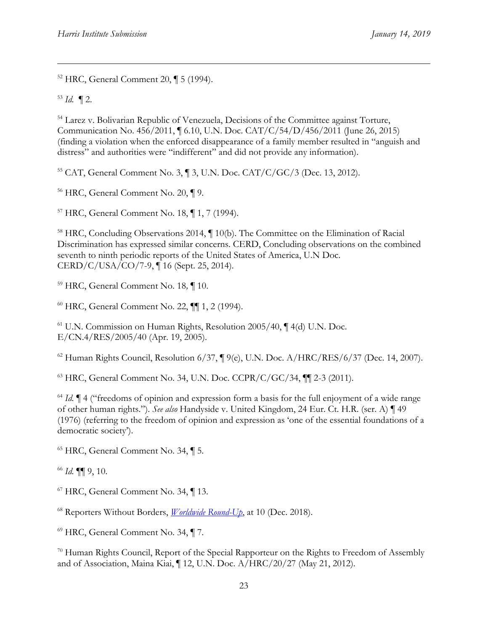<sup>52</sup> HRC, General Comment 20, ¶ 5 (1994).

 $1/3$  *Id.* 12.

 $\overline{a}$ 

<sup>54</sup> Larez v. Bolivarian Republic of Venezuela, Decisions of the Committee against Torture, Communication No. 456/2011, ¶ 6.10, U.N. Doc. CAT/C/54/D/456/2011 (June 26, 2015) (finding a violation when the enforced disappearance of a family member resulted in "anguish and distress" and authorities were "indifferent" and did not provide any information).

<sup>55</sup> CAT, General Comment No. 3, ¶ 3, U.N. Doc. CAT/C/GC/3 (Dec. 13, 2012).

<sup>56</sup> HRC, General Comment No. 20, ¶ 9.

<sup>57</sup> HRC, General Comment No. 18, ¶ 1, 7 (1994).

<sup>58</sup> HRC, Concluding Observations 2014,  $\P$  10(b). The Committee on the Elimination of Racial Discrimination has expressed similar concerns. CERD, Concluding observations on the combined seventh to ninth periodic reports of the United States of America, U.N Doc. CERD/C/USA/CO/7-9, ¶ 16 (Sept. 25, 2014).

<sup>59</sup> HRC, General Comment No. 18*,* ¶ 10.

<sup>60</sup> HRC, General Comment No. 22, ¶¶ 1, 2 (1994).

<sup>61</sup> U.N. Commission on Human Rights, Resolution 2005/40, ¶ 4(d) U.N. Doc. E/CN.4/RES/2005/40 (Apr. 19, 2005).

<sup>62</sup> Human Rights Council, Resolution 6/37, ¶ 9(e), U.N. Doc. A/HRC/RES/6/37 (Dec. 14, 2007).

<sup>63</sup> HRC, General Comment No. 34, U.N. Doc. CCPR/C/GC/34, ¶¶ 2-3 (2011).

<sup>64</sup> *Id.*  $\parallel$  4 ("freedoms of opinion and expression form a basis for the full enjoyment of a wide range of other human rights."). *See also* Handyside v. United Kingdom, 24 Eur. Ct. H.R. (ser. A) ¶ 49 (1976) (referring to the freedom of opinion and expression as 'one of the essential foundations of a democratic society').

<sup>65</sup> HRC, General Comment No. 34, ¶ 5.

<sup>66</sup> *Id.* ¶¶ 9, 10.

<sup>67</sup> HRC, General Comment No. 34, ¶ 13.

<sup>68</sup> Reporters Without Borders, *[Worldwide Round-Up](https://rsf.org/sites/default/files/worldwilde_round-up.pdf)*, at 10 (Dec. 2018).

<sup>69</sup> HRC, General Comment No. 34, ¶ 7.

<sup>70</sup> Human Rights Council, Report of the Special Rapporteur on the Rights to Freedom of Assembly and of Association, Maina Kiai, ¶ 12, U.N. Doc. A/HRC/20/27 (May 21, 2012).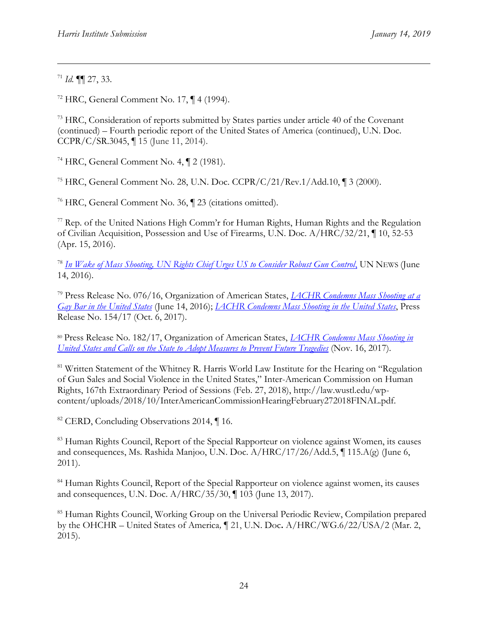<sup>71</sup> *Id.* ¶¶ 27, 33.

 $\overline{a}$ 

<sup>72</sup> HRC, General Comment No. 17,  $\P$  4 (1994).

<sup>73</sup> HRC, Consideration of reports submitted by States parties under article 40 of the Covenant (continued) – Fourth periodic report of the United States of America (continued), U.N. Doc. CCPR/C/SR.3045, ¶ 15 (June 11, 2014).

<sup>74</sup> HRC, General Comment No. 4, ¶ 2 (1981).

<sup>75</sup> HRC, General Comment No. 28, U.N. Doc. CCPR/C/21/Rev.1/Add.10, ¶ 3 (2000).

<sup>76</sup> HRC, General Comment No. 36, ¶ 23 (citations omitted).

<sup>77</sup> Rep. of the United Nations High Comm'r for Human Rights, Human Rights and the Regulation of Civilian Acquisition, Possession and Use of Firearms, U.N. Doc. A/HRC/32/21, ¶ 10, 52-53 (Apr. 15, 2016).

<sup>78</sup> *In Wake of Mass Shooting, [UN Rights Chief Urges US to Consider Robust Gun Control](https://news.un.org/en/story/2016/06/532022-wake-mass-shooting-un-rights-chief-urges-us-consider-robust-gun-control)*, UN NEWS (June 14, 2016).

<sup>79</sup> Press Release No. 076/16, Organization of American States, *[IACHR Condemns Mass Shooting at a](file://///lawfs01/share/CIS%20-%20Harris%20Institute/HI%20Fellow%20Folders/2018-2019%20Maddy/Gun%20Violence%20Project/HRC%20Submission/www.oas.org/en/iachr/media_center/preleases/2016/076.asp)  [Gay Bar in the United States](file://///lawfs01/share/CIS%20-%20Harris%20Institute/HI%20Fellow%20Folders/2018-2019%20Maddy/Gun%20Violence%20Project/HRC%20Submission/www.oas.org/en/iachr/media_center/preleases/2016/076.asp)* (June 14, 2016); *[IACHR Condemns Mass Shooting in the United States](http://www.oas.org/en/iachr/media_center/PReleases/2017/154.asp)*, Press Release No. 154/17 (Oct. 6, 2017).

<sup>80</sup> Press Release No. 182/17, Organization of American States, *[IACHR Condemns Mass Shooting in](http://www.oas.org/en/iachr/media_center/PReleases/2017/182.asp)  [United States and Calls on the State to Adopt Measures to Prevent Future Tragedies](http://www.oas.org/en/iachr/media_center/PReleases/2017/182.asp)* (Nov. 16, 2017).

<sup>81</sup> Written Statement of the Whitney R. Harris World Law Institute for the Hearing on "Regulation" of Gun Sales and Social Violence in the United States," Inter-American Commission on Human Rights, 167th Extraordinary Period of Sessions (Feb. 27, 2018), http://law.wustl.edu/wpcontent/uploads/2018/10/InterAmericanCommissionHearingFebruary272018FINAL.pdf.

<sup>82</sup> CERD, Concluding Observations 2014, ¶16.

83 Human Rights Council, Report of the Special Rapporteur on violence against Women, its causes and consequences, Ms. Rashida Manjoo, U.N. Doc. A/HRC/17/26/Add.5, ¶ 115.A(g) (June 6, 2011).

<sup>84</sup> Human Rights Council, Report of the Special Rapporteur on violence against women, its causes and consequences, U.N. Doc. A/HRC/35/30, ¶ 103 (June 13, 2017).

<sup>85</sup> Human Rights Council, Working Group on the Universal Periodic Review, Compilation prepared by the OHCHR – United States of America*,* ¶ 21, U.N. Doc**.** A/HRC/WG.6/22/USA/2 (Mar. 2, 2015).